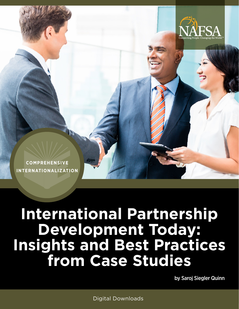

**COMPREHENSIVE INTERNATIONALIZATION**

# **International Partnership Development Today: Insights and Best Practices from Case Studies**

by Saroj Siegler Quinn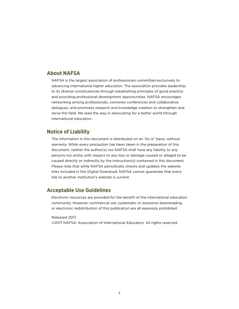#### **About NAFSA**

NAFSA is the largest association of professionals committed exclusively to advancing international higher education. The association provides leadership to its diverse constituencies through establishing principles of good practice and providing professional development opportunities. NAFSA encourages networking among professionals, convenes conferences and collaborative dialogues, and promotes research and knowledge creation to strengthen and serve the field. We lead the way in advocating for a better world through international education.

#### **Notice of Liability**

The information in this document is distributed on an "As is" basis, without warranty. While every precaution has been taken in the preparation of this document, neither the author(s) nor NAFSA shall have any liability to any persons nor entity with respect to any loss or damage caused or alleged to be caused directly or indirectly by the instruction(s) contained in this document. Please note that while NAFSA periodically checks and updates the website links included in this Digital Download, NAFSA cannot guarantee that every link to another institution's website is current.

#### **Acceptable Use Guidelines**

Electronic resources are provided for the benefit of the international education community. However, commercial use, systematic or excessive downloading, or electronic redistribution of this publication are all expressly prohibited

#### Released 2017.

©2017 NAFSA: Association of International Educators. All rights reserved.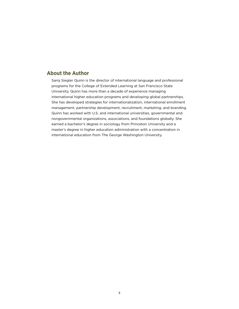#### <span id="page-2-0"></span>**About the Author**

Saroj Siegler Quinn is the director of international language and professional programs for the College of Extended Learning at San Francisco State University. Quinn has more than a decade of experience managing international higher education programs and developing global partnerships. She has developed strategies for internationalization, international enrollment management, partnership development, recruitment, marketing, and branding. Quinn has worked with U.S. and international universities, governmental and nongovernmental organizations, associations, and foundations globally. She earned a bachelor's degree in sociology from Princeton University and a master's degree in higher education administration with a concentration in international education from The George Washington University.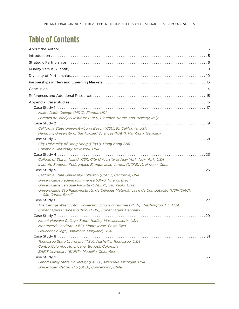# **Table of Contents**

| Miami Dade College (MDC), Florida, USA                                                                                  |
|-------------------------------------------------------------------------------------------------------------------------|
| Lorenzo de' Medyici Institute (LdM), Florence, Rome, and Tuscany, Italy                                                 |
|                                                                                                                         |
| California State University-Long Beach (CSULB), California, USA                                                         |
| Hamburg University of the Applied Sciences (HAW), Hamburg, Germany                                                      |
|                                                                                                                         |
| City University of Hong Kong (CityU), Hong Kong SAR                                                                     |
| Columbia University, New York, USA                                                                                      |
|                                                                                                                         |
| College of Staten Island (CSI), City University of New York, New York, USA                                              |
| Instituto Superior Pedagogico Enrique Jose Varona (UCPEJV), Havana, Cuba                                                |
|                                                                                                                         |
| California State University-Fullerton (CSUF), California, USA<br>Universidade Federal Fluminense (UFF), Niterói, Brazil |
| Universidade Estadual Paulista (UNESP), São Paulo, Brazil                                                               |
| Universidade São Paulo-Instituto de Ciências Matemáticas e de Computação (USP-ICMC),<br>São Carlos, Brazil              |
|                                                                                                                         |
| The George Washington University School of Business (GW), Washington, DC, USA                                           |
| Copenhagen Business School (CBS), Copenhagen, Denmark                                                                   |
|                                                                                                                         |
| Mount Holyoke College, South Hadley, Massachusetts, USA                                                                 |
| Monteverde Institute (MVI), Monteverde, Costa Rica                                                                      |
| Goucher College, Baltimore, Maryland, USA                                                                               |
|                                                                                                                         |
| Tennessee State University (TSU), Nashville, Tennessee, USA                                                             |
| Centro Colombo Americano, Bogotá, Colombia                                                                              |
| EAFIT University (EAFIT), Medellin, Colombia                                                                            |
| Grand Valley State University (GVSU), Allendale, Michigan, USA<br>Universidad del Bío Bío (UBB), Concepción, Chile      |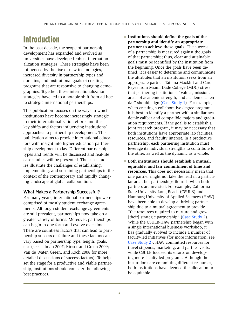# <span id="page-4-0"></span>**Introduction**

In the past decade, the scope of partnership development has expanded and evolved as universities have developed robust internationalization strategies. These strategies have been influenced by the rise of new technologies, increased diversity in partnership types and domains, and institutional goals of creating programs that are responsive to changing demographics. Together, these internationalization strategies have led to a notable shift from ad hoc to strategic international partnerships.

This publication focuses on the ways in which institutions have become increasingly strategic in their internationalization efforts and the key shifts and factors influencing institutions' approaches to partnership development. This publication aims to provide international educators with insight into higher education partnership development today. Different partnership types and trends will be discussed and real-life case studies will be presented. The case studies illustrate the challenges of establishing, implementing, and sustaining partnerships in the context of the contemporary and rapidly changing landscape of global collaboration.

#### What Makes a Partnership Successful?

For many years, international partnerships were comprised of mostly student exchange agreements. Although student exchange agreements are still prevalent, partnerships now take on a greater variety of forms. Moreover, partnerships can begin in one form and evolve over time. There are countless factors that can lead to partnership success or failure and these factors can vary based on partnership type, length, goals, etc. (see Tillman 2007; Kinser and Green 2009; Van de Water, Green, and Koch 2008 for more detailed discussions of success factors). To help set the stage for a productive and viable partnership, institutions should consider the following best practices.

- Institutions should define the goals of the **partnership and identify an appropriate partner to achieve these goals.** The success of a partnership is measured against the goals of that partnership; thus, clear and attainable goals must be identified by the institution from the beginning. Once the goals have been defined, it is easier to determine and communicate the attributes that an institution seeks from an appropriate partner. Tatiana Mackliff and Carol Reyes from Miami Dade College (MDC) stress that partnering institutions' "values, mission, areas of academic strength, and academic calen-dar" should align [\(Case Study 1](#page-16-1)). For example, when creating a collaborative degree program, it is best to identify a partner with a similar academic caliber and compatible majors and graduation requirements. If the goal is to establish a joint research program, it may be necessary that both institutions have appropriate lab facilities, resources, and faculty interest. In a productive partnership, each partnering institution must leverage its individual strengths to contribute to the other, as well as the dynamic as a whole.
- **Both institutions should establish a mutual, equitable, and fair commitment of time and resources.** This does not necessarily mean that one partner might not take the lead in a particular area, but partnerships flourish when both partners are invested. For example, California State University-Long Beach (CSULB) and Hamburg University of Applied Sciences (HAW) have been able to develop a thriving partnership due to a mutual agreement to provide "the resources required to nurture and grow [their] strategic partnership" [\(Case Study](#page-18-1) 2). While the CSULB-HAW partnership began with a single international business workshop, it has gradually evolved to include a number of faculty-led initiatives (for more information, see [Case Study 2\)](#page-18-1). HAW committed resources for travel stipends, marketing, and partner visits, while CSULB focused its efforts on developing more faculty-led programs. Although the institutions are committing different resources, both institutions have deemed the allocation to be equitable.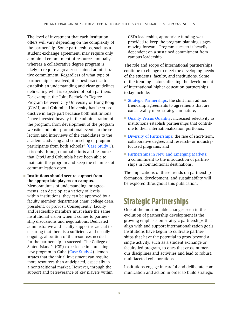<span id="page-5-0"></span>The level of investment that each institution offers will vary depending on the complexity of the partnership. Some partnerships, such as a student exchange agreement, may require only a minimal commitment of resources annually, whereas a collaborative degree program is likely to require a greater sustained administrative commitment. Regardless of what type of partnership is involved, it is best practice to establish an understanding and clear guidelines delineating what is expected of both partners. For example, the Joint Bachelor's Degree Program between City University of Hong Kong (CityU) and Columbia University has been productive in large part because both institutions "have invested heavily in the administration of the program, from development of the program website and joint promotional events to the selection and interviews of the candidates to the academic advising and counseling of program participants from both schools" [\(Case Study 3\)](#page-20-1). It is only through mutual efforts and resources that CityU and Columbia have been able to maintain the program and keep the channels of communication open.

■ **Institutions should secure support from the appropriate players on campus.**  Memorandums of understanding, or agreements, can develop at a variety of levels within institutions; they can be approved by a faculty member, department chair, college dean, president, or provost. Consequently, faculty and leadership members must share the same institutional vision when it comes to partnership discussions and negotiations. Dedicated administrative and faculty support is crucial to ensuring that there is a sufficient, and usually ongoing, allocation of the resources needed for the partnership to succeed. The College of Staten Island's (CSI) experience in launching a new program in Cuba ([Case Study 4](#page-22-1)) demonstrates that the initial investment can require more resources than anticipated, especially in a nontraditional market. However, through the support and perseverance of key players within

CSI's leadership, appropriate funding was provided to keep the program planning stages moving forward. Program success is heavily dependent on a sustained commitment from campus leadership.

The role and scope of international partnerships continue to change to meet the developing needs of the students, faculty, and institutions. Some of the trending factors affecting the development of international higher education partnerships today include:

- [Strategic Partnerships](#page-5-1): the shift from ad hoc friendship agreements to agreements that are considerably more strategic in nature;
- [Quality Versus Quantity:](#page-7-1) increased selectivity as institutions establish partnerships that contribute to their internationalization portfolios;
- [Diversity of Partnerships](#page-9-1): the rise of short-term, collaborative degree, and research- or industryfocused programs; and
- [Partnerships in New and Emerging Markets:](#page-12-1) a commitment to the introduction of partnerships in nontraditional destinations.

The implications of these trends on partnership formation, development, and sustainability will be explored throughout this publication.

# <span id="page-5-1"></span>**Strategic Partnerships**

One of the most notable changes seen in the evolution of partnership development is the growing emphasis on strategic partnerships that align with and support internationalization goals. Institutions have begun to cultivate partnerships that have the potential to grow beyond a single activity, such as a student exchange or faculty-led program, to ones that cross numerous disciplines and activities and lead to robust, multifaceted collaborations.

Institutions engage in careful and deliberate communication and action in order to build strategic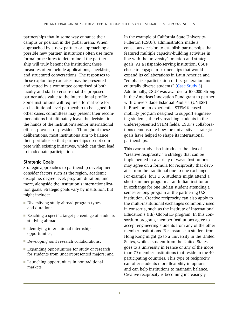partnerships that in some way enhance their campus or position in the global arena. When approached by a new partner or approaching a possible new partner, institutions often use more formal procedures to determine if the partnership will truly benefit the institution; these measures often include applications, checklists, and structured conversations. The responses to these exploratory exercises may be presented and vetted by a committee comprised of both faculty and staff to ensure that the proposed partner adds value to the international profile. Some institutions will require a formal vote for an institutional-level partnership to be signed. In other cases, committees may present their recommendations but ultimately leave the decision in the hands of the institution's senior international officer, provost, or president. Throughout these deliberations, most institutions aim to balance their portfolios so that partnerships do not compete with existing initiatives, which can then lead to inadequate participation.

#### Strategic Goals

Strategic approaches to partnership development consider factors such as the region, academic discipline, degree level, program duration, and more, alongside the institution's internationalization goals. Strategic goals vary by institution, but might include:

- Diversifying study abroad program types and duration;
- Reaching a specific target percentage of students studying abroad;
- Identifying international internship opportunities;
- Developing joint research collaborations;
- Expanding opportunities for study or research for students from underrepresented majors; and
- Launching opportunities in nontraditional markets.

In the example of California State University-Fullerton (CSUF), administrators made a conscious decision to establish partnerships that featured multiple capacity-building activities in line with the university's mission and strategic goals. As a Hispanic-serving institution, CSUF chose to engage in partnerships that would expand its collaborations in Latin America and "emphasize participation of first-generation and culturally diverse students" (Case [Study 5](#page-24-1)). Additionally, CSUF was awarded a 100,000 Strong in the Americas Innovation Fund grant to partner with Universidade Estadual Paulista (UNESP) in Brazil on an experiential STEM-focused mobility program designed to support engineering students, thereby reaching students in the underrepresented STEM fields. CSUF's collaborations demonstrate how the university's strategic goals have helped to shape its international partnerships.

This case study also introduces the idea of "creative reciprocity," a strategy that can be implemented in a variety of ways. Institutions may agree on a formula for reciprocity that deviates from the traditional one-to-one exchange. For example, four U.S. students might attend a short summer program at an Indian institution in exchange for one Indian student attending a semester-long program at the partnering U.S. institution. Creative reciprocity can also apply to the multi-institutional exchanges commonly used in consortia, such as the Institute of International Education's (IIE) Global E3 program. In this consortium program, member institutions agree to accept engineering students from any of the other member institutions. For instance, a student from Hong Kong might go to a university in the United States, while a student from the United States goes to a university in France or any of the more than 70 member institutions that reside in the 40 participating countries. This type of reciprocity can offer students more flexibility in options and can help institutions to maintain balance. Creative reciprocity is becoming increasingly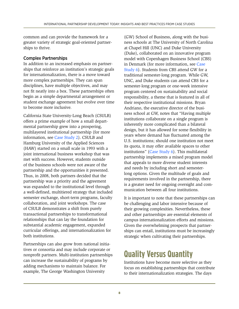<span id="page-7-0"></span>common and can provide the framework for a greater variety of strategic goal-oriented partnerships to thrive.

#### Complex Partnerships

In addition to an increased emphasis on partnerships that reinforce an institution's strategic goals for internationalization, there is a move toward more complex partnerships. They can span disciplines, have multiple objectives, and may not fit neatly into a box. These partnerships often begin as a simple departmental arrangement or student exchange agreement but evolve over time to become more inclusive.

California State University-Long Beach (CSULB) offers a prime example of how a small departmental partnership grew into a prospering, multilayered institutional partnership (for more information, see [Case Study 2](#page-18-1)). CSULB and Hamburg University of the Applied Sciences (HAW) started on a small scale in 1993 with a joint international business workshop that was met with success. However, students outside of the business schools were not aware of the partnership and the opportunities it presented. Thus, in 2008, both partners decided that the partnership was a priority and the agreement was expanded to the institutional level through a well-defined, multitiered strategy that included semester exchange, short-term programs, faculty collaboration, and joint workshops. The case of CSULB demonstrates a shift from purely transactional partnerships to transformational relationships that can lay the foundation for substantial academic engagement, expanded curricular offerings, and internationalization for both institutions.

Partnerships can also grow from national initiatives or consortia and may include corporate or nonprofit partners. Multi-institution partnerships can increase the sustainability of programs by adding mechanisms to maintain balance. For example, The George Washington University

(GW) School of Business, along with the business schools at The University of North Carolina at Chapel Hill (UNC) and Duke University (Duke), collaborated on an innovative program model with Copenhagen Business School (CBS) in Denmark (for more information, see [Case](#page-26-1)  [Study 6](#page-26-1)). Students from CBS attend GW for a traditional semester-long program. While GW, UNC, and Duke students can attend CBS for a semester-long program or one-week intensive program centered on sustainability and social responsibility, a theme that is featured in all of their respective institutional missions. Bryan Andriano, the executive director of the business school at GW, notes that "Having multiple institutions collaborate on a single program is inherently more complicated than a bilateral design, but it has allowed for some flexibility in years where demand has fluctuated among the U.S. institutions; should one institution not meet its quota, it may offer available spaces to other institutions" [\(Case Study 6](#page-26-1)). This multilateral partnership implements a mixed program model that appeals to more diverse student interests and needs by including short and semesterlong options. Given the multitude of goals and requirements involved in the partnership, there is a greater need for ongoing oversight and communication between all four institutions.

It is important to note that these partnerships can be challenging and labor intensive because of their growing complexities. Nevertheless, these and other partnerships are essential elements of campus internationalization efforts and missions. Given the overwhelming prospects that partnerships can entail, institutions must be increasingly strategic when cultivating their partnerships.

# <span id="page-7-1"></span>**Quality Versus Quantity**

Institutions have become more selective as they focus on establishing partnerships that contribute to their internationalization strategies. The days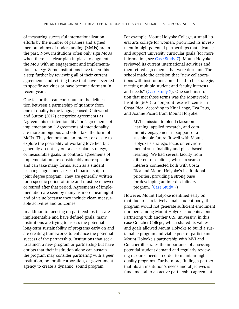of measuring successful internationalization efforts by the number of partners and signed memorandums of understanding (MoUs) are in the past. Now, institutions often only sign MoUs when there is a clear plan in place to augment the MoU with an engagement and implementation strategy. Some institutions have taken this a step further by reviewing all of their current agreements and retiring those that have never led to specific activities or have become dormant in recent years.

One factor that can contribute to the delineation between a partnership of quantity from one of quality is the language used. Gatewood and Sutton (2017) categorize agreements as "agreements of intentionality" or "agreements of implementation." Agreements of intentionality are more ambiguous and often take the form of MoUs. They demonstrate an interest or desire to explore the possibility of working together, but generally do not lay out a clear plan, strategy, or measurable goals. In contrast, agreements of implementation are considerably more specific and can take many forms, such as a student exchange agreement, research partnership, or joint degree program. They are generally written for a specific period of time and must be renewed or retired after that period. Agreements of implementation are seen by many as more meaningful and of value because they include clear, measurable activities and outcomes.

In addition to focusing on partnerships that are implementable and have defined goals, many institutions are trying to assess the potential long-term sustainability of programs early on and are creating frameworks to enhance the potential success of the partnership. Institutions that seek to launch a new program or partnership but have doubts that their institution alone can sustain the program may consider partnering with a peer institution, nonprofit corporation, or government agency to create a dynamic, sound program.

For example, Mount Holyoke College, a small liberal arts college for women, prioritized its investment in high-potential partnerships that advance and support university curricular goals (for more information, see [Case Study 7](#page-28-1)). Mount Holyoke reviewed its current international activities and then retired agreements that were dormant. The school made the decision that "new collaborations with institutions abroad had to be strategic, meeting multiple student and faculty interests and needs" [\(Case Study 7\)](#page-28-1). One such institution that met those terms was the Monteverde Institute (MVI), a nonprofit research center in Costa Rica. According to Kirk Lange, Eva Paus, and Joanne Picard from Mount Holyoke:

MVI's mission to blend classroom learning, applied research, and community engagement in support of a sustainable future fit well with Mount Holyoke's strategic focus on environmental sustainability and place-based learning. We had several faculty from different disciplines, whose research interests connected both with Costa Rica and Mount Holyoke's institutional priorities, providing a strong base for developing an interdisciplinary program. ([Case Study 7](#page-28-1))

However, Mount Holyoke identified early on that due to its relatively small student body, the program would not generate sufficient enrollment numbers among Mount Holyoke students alone. Partnering with another U.S. university, in this case Goucher College, which shared its values and goals allowed Mount Holyoke to build a sustainable program and viable pool of participants. Mount Holyoke's partnership with MVI and Goucher illustrates the importance of assessing potential student demand and regularly reviewing resource needs in order to maintain highquality programs. Furthermore, finding a partner that fits an institution's needs and objectives is fundamental to an active partnership agreement.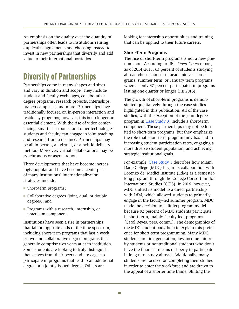<span id="page-9-0"></span>An emphasis on the quality over the quantity of partnerships often leads to institutions retiring duplicative agreements and choosing instead to invest in new partnerships that diversify and add value to their international portfolios.

# <span id="page-9-1"></span>**Diversity of Partnerships**

Partnerships come in many shapes and sizes and vary in duration and scope. They include student and faculty exchanges, collaborative degree programs, research projects, internships, branch campuses, and more. Partnerships have traditionally focused on in-person interaction and residency programs; however, this is no longer an essential element. With the rise of video conferencing, smart classrooms, and other technologies, students and faculty can engage in joint teaching and research from a distance. Partnerships may be all in person, all virtual, or a hybrid delivery method. Moreover, virtual collaborations may be synchronous or asynchronous.

Three developments that have become increasingly popular and have become a centerpiece of many institutions' internationalization strategies include:

- Short-term programs;
- Collaborative degrees (joint, dual, or double degrees); and
- Programs with a research, internship, or practicum component.

Institutions have seen a rise in partnerships that fall on opposite ends of the time spectrum, including short-term programs that last a week or two and collaborative degree programs that generally comprise two years at each institution. Some students are looking to truly distinguish themselves from their peers and are eager to participate in programs that lead to an additional degree or a jointly issued degree. Others are

looking for internship opportunities and training that can be applied to their future careers.

#### Short-Term Programs

The rise of short-term programs is not a new phenomenon. According to IIE's *Open Doors* report, as of 2014/2015, 63 percent of students studying abroad chose short-term academic year programs, summer term, or January term programs, whereas only 37 percent participated in programs lasting one quarter or longer (IIE 2016).

The growth of short-term programs is demonstrated qualitatively through the case studies highlighted in this publication. All of the case studies, with the exception of the joint degree program in [Case Study 3](#page-20-1), include a short-term component. These partnerships may not be limited to short-term programs, but they emphasize the role that short-term programming has had in increasing student participation rates, engaging a more diverse student population, and achieving strategic institutional goals.

For example, [Case Study 1](#page-16-1) describes how Miami Dade College (MDC) began its collaboration with Lorenzo de' Medici Institute (LdM) as a semesterlong program through the College Consortium for International Studies (CCIS). In 2016, however, MDC shifted its model to a direct partnership with LdM, which allowed students to primarily engage in the faculty-led summer program. MDC made the decision to shift its program model because 92 percent of MDC students participate in short-term, mainly faculty-led, programs (Carol Reyes, pers. comm.). The demographics of the MDC student body help to explain this preference for short-term programming. Many MDC students are first-generation, low-income minority students or nontraditional students who don't have the financial means or liberty to participate in long-term study abroad. Additionally, many students are focused on completing their studies in order to enter the workforce and are drawn to the appeal of a shorter time frame. Shifting the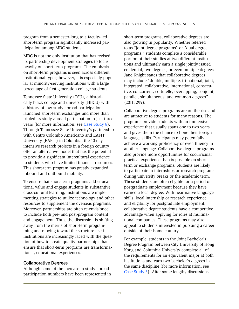program from a semester-long to a faculty-led short-term program significantly increased participation among MDC students.

MDC is not the only institution that has revised its partnership development strategies to focus heavily on short-term programs. The emphasis on short-term programs is seen across different institutional types; however, it is especially popular at minority-serving institutions with a large percentage of first-generation college students.

Tennessee State University (TSU), a historically black college and university (HBCU) with a history of low study abroad participation, launched short-term exchanges and more than tripled its study abroad participation in just three years (for more information, see [Case Study 8](#page-30-1)). Through Tennessee State University's partnership with Centro Colombo Americano and EAFIT University (EAFIT) in Colombia, the 10-day intensive research projects in a foreign country offer an alternative model that has the potential to provide a significant intercultural experience to students who have limited financial resources. This short-term program has greatly expanded inbound and outbound mobility.

To ensure that short-term programs add educational value and engage students in substantive cross-cultural learning, institutions are implementing strategies to utilize technology and other resources to supplement the overseas programs. Moreover, partnerships are often re-envisioned to include both pre- and post-program content and engagement. Thus, the discussion is shifting away from the merits of short-term programming and moving toward the structure itself. Institutions are increasingly faced with the question of how to create quality partnerships that ensure that short-term programs are transformational, educational experiences.

#### Collaborative Degrees

Although some of the increase in study abroad participation numbers have been represented in short-term programs, collaborative degrees are also growing in popularity. Whether referred to as "joint degree programs" or "dual degree programs," students complete a considerable portion of their studies at two different institutions and ultimately earn a single jointly issued credential, two degrees, or even multiple degrees. Jane Knight states that collaborative degrees may include "double, multiple, tri-national, joint, integrated, collaborative, international, consecutive, concurrent, co-tutelle, overlapping, conjoint, parallel, simultaneous, and common degrees" (2011, 299).

Collaborative degree programs are on the rise and are attractive to students for many reasons. The programs provide students with an immersive experience that usually spans one to two years and gives them the chance to hone their foreign language skills. Participants may potentially achieve a working proficiency or even fluency in another language. Collaborative degree programs also provide more opportunities for cocurricular practical experience than is possible on shortterm or exchange programs. Students are likely to participate in internships or research programs during university breaks or the academic term. These students are often eligible for a period of postgraduate employment because they have earned a local degree. With near native language skills, local internship or research experience, and eligibility for postgraduate employment, collaborative degree students have a competitive advantage when applying for roles at multinational companies. These programs may also appeal to students interested in pursuing a career outside of their home country.

For example, students in the Joint Bachelor's Degree Program between City University of Hong Kong and Columbia University complete all of the requirements for an equivalent major at both institutions and earn two bachelor's degrees in the same discipline (for more information, see [Case Study 3\)](#page-20-1). After some lengthy discussions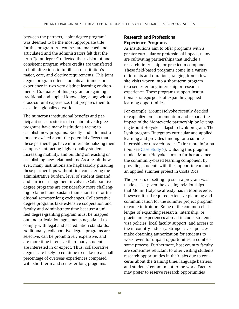between the partners, "joint degree program" was deemed to be the most appropriate title for this program. All courses are matched and articulated and the administrators felt that the term "joint degree" reflected their vision of one consistent program where credits are transferred in both directions to fulfill each institution's major, core, and elective requirements. This joint degree program offers students an immersion experience in two very distinct learning environments. Graduates of this program are gaining traditional and applied knowledge, along with a cross-cultural experience, that prepares them to excel in a globalized world.

The numerous institutional benefits and participant success stories of collaborative degree programs have many institutions racing to establish new programs. Faculty and administrators are excited about the potential effects that these partnerships have in internationalizing their campuses, attracting higher quality students, increasing mobility, and building on existing or establishing new relationships. As a result, however, many institutions are haphazardly pursuing these partnerships without first considering the administrative burden, level of student demand, and curricular alignment involved. Collaborative degree programs are considerably more challenging to launch and sustain than short-term or traditional semester-long exchanges. Collaborative degree programs take extensive cooperation and faculty and administrator time because a unified degree-granting program must be mapped out and articulation agreements negotiated to comply with legal and accreditation standards. Additionally, collaborative degree programs are selective, can be prohibitively expensive, and are more time intensive than many students are interested in or expect. Thus, collaborative degrees are likely to continue to make up a small percentage of overseas experiences compared with short-term and semester-long programs.

#### Research and Professional Experience Programs

As institutions aim to offer programs with a greater curricular or professional impact, many are cultivating partnerships that include a research, internship, or practicum component. These field-based programs come in a variety of formats and durations, ranging from a few site visits woven into a short-term program to a semester-long internship or research experience. These programs support institutional strategic goals of expanding applied learning opportunities.

For example, Mount Holyoke recently decided to capitalize on its momentum and expand the impact of the Monteverde partnership by leveraging Mount Holyoke's flagship Lynk program. The Lynk program "integrates curricular and applied learning and provides funding for a summer internship or research project" (for more information, see [Case Study 7](#page-28-1)). Utilizing this program model, Mount Holyoke aims to further advance the community-based learning component by providing students with the support to conduct an applied summer project in Costa Rica.

The process of setting up such a program was made easier given the existing relationships that Mount Holyoke already has in Monteverde; however, it still required extensive planning and communication for the summer project program to come to fruition. Some of the common challenges of expanding research, internship, or practicum experiences abroad include: student visa policies, local faculty support, and access to the in-country industry. Stringent visa policies make obtaining authorization for students to work, even for unpaid opportunities, a cumbersome process. Furthermore, host country faculty are sometimes reluctant to offer visiting students research opportunities in their labs due to concerns about the training time, language barriers, and students' commitment to the work. Faculty may prefer to reserve research opportunities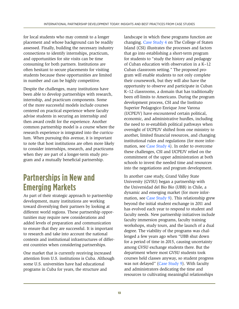<span id="page-12-0"></span>for local students who may commit to a longer placement and whose background can be readily assessed. Finally, building the necessary industry connections to identify internships, practicum, and opportunities for site visits can be time consuming for both partners. Institutions are often hesitant to secure placements for visiting students because these opportunities are limited in number and can be highly competitive.

Despite the challenges, many institutions have been able to develop partnerships with research, internship, and practicum components. Some of the more successful models include courses centered on practical experience where faculty advise students in securing an internship and then award credit for the experience. Another common partnership model is a course where the research experience is integrated into the curriculum. When pursuing this avenue, it is important to note that host institutions are often more likely to consider internships, research, and practicums when they are part of a longer-term study program and a mutually beneficial partnership.

# <span id="page-12-1"></span>**Partnerships in New and Emerging Markets**

As part of their strategic approach to partnership development, many institutions are working toward diversifying their partners by looking at different world regions. These partnership opportunities may require new considerations and added levels of preparation and communication to ensure that they are successful. It is important to research and take into account the national contexts and institutional infrastructures of different countries when considering partnerships.

One market that is currently receiving increased attention from U.S. institutions is Cuba. Although some U.S. universities have had educational programs in Cuba for years, the structure and

landscape in which these programs function are changing. [Case Study 4](#page-22-1) on The College of Staten Island (CSI) illustrates the processes and factors that go into establishing a short-term program for students to "study the history and pedagogy of Cuban education with observation in a K–12 Cuban classroom setting." The proposed program will enable students to not only complete their coursework, but they will also have the opportunity to observe and participate in Cuban K–12 classrooms, a domain that has traditionally been off-limits to Americans. During the program development process, CSI and the Instituto Superior Pedagogico Enrique Jose Varona (UCPEJV) have encountered certain political, economic, and administrative hurdles, including the need to re-establish political pathways when oversight of UCPEJV shifted from one ministry to another, limited financial resources, and changing institutional rules and regulations (for more information, see [Case Study 4\)](#page-22-1). In order to overcome these challenges, CSI and UCPEJV relied on the commitment of the upper administration at both schools to invest the needed time and resources into the negotiations and program development.

In another case study, Grand Valley State University (GVSU) began a partnership with the Universidad del Bio Bio (UBB) in Chile, a dynamic and emerging market (for more information, see [Case Study 9\)](#page-32-1). This relationship grew beyond the initial student exchange in 2011 and has evolved each year to respond to student and faculty needs. New partnership initiatives include faculty immersion programs, faculty training workshops, study tours, and the launch of a dual degree. The viability of the programs was challenged a few years ago when "UBB shut down for a period of time in 2015, causing uncertainty among GVSU exchange students there. But the department where most GVSU students took courses held classes anyway, so student progress was not delayed" [\(Case Study](#page-32-1) 9). With faculty and administrators dedicating the time and resources to cultivating meaningful relationships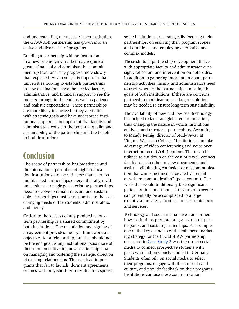<span id="page-13-0"></span>and understanding the needs of each institution, the GVSU-UBB partnership has grown into an active and diverse set of programs.

Building a partnership with an institution in a new or emerging market may require a greater financial and administrative commitment up front and may progress more slowly than expected. As a result, it is important that universities looking to establish partnerships in new destinations have the needed faculty, administrative, and financial support to see the process through to the end, as well as patience and realistic expectations. These partnerships are more likely to succeed if they are in line with strategic goals and have widespread institutional support. It is important that faculty and administrators consider the potential quality and sustainability of the partnership and the benefits to both institutions.

# **Conclusion**

The scope of partnerships has broadened and the international portfolios of higher education institutions are more diverse than ever. As multifaceted partnerships emerge that align with universities' strategic goals, existing partnerships need to evolve to remain relevant and sustainable. Partnerships must be responsive to the everchanging needs of the students, administrators, and faculty.

Critical to the success of any productive longterm partnership is a shared commitment by both institutions. The negotiation and signing of an agreement provides the legal framework and objectives for a relationship, but that should not be the end goal. Many institutions focus more of their time on cultivating new relationships than on managing and fostering the strategic direction of existing relationships. This can lead to programs that fail to launch, dormant agreements, or ones with only short-term results. In response, some institutions are strategically focusing their partnerships, diversifying their program scopes and durations, and employing alternative and complex models.

These shifts in partnership development thrive with appropriate faculty and administrator oversight, reflection, and intervention on both sides. In addition to gathering information about partnership activities, faculty and administrators need to track whether the partnership is meeting the goals of both institutions. If there are concerns, partnership modification or a larger evolution may be needed to ensure long-term sustainability.

The availability of new and low cost technology has helped to facilitate global communication, thus changing the nature in which institutions cultivate and transform partnerships. According to Mandy Reinig, director of Study Away at Virginia Wesleyan College, "Institutions can take advantage of video conferencing and voice over internet protocol (VOIP) options. These can be utilized to cut down on the cost of travel, connect faculty to each other, review documents, and assist in eliminating confusion or miscommunication that can sometimes be created via email or written communication" (pers. comm.). The work that would traditionally take significant periods of time and financial resources to secure can potentially be accomplished to a large extent via the latest, most secure electronic tools and services.

Technology and social media have transformed how institutions promote programs, recruit participants, and sustain partnerships. For example, one of the key elements of the enhanced marketing strategy for the CSULB-HAW partnership discussed in [Case Study 2](#page-18-1) was the use of social media to connect prospective students with peers who had previously studied in Germany. Students often rely on social media to select their programs, engage with the curricula and culture, and provide feedback on their programs. Institutions can use these communication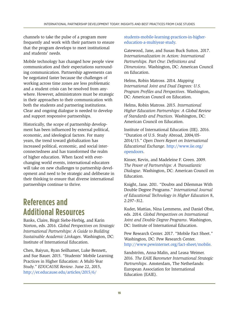<span id="page-14-0"></span>channels to take the pulse of a program more frequently and work with their partners to ensure that the program develops to meet institutional and students' needs.

Mobile technology has changed how people view communication and their expectations surrounding communication. Partnership agreements can be negotiated faster because the challenges of working across time zones are less problematic and a student crisis can be resolved from anywhere. However, administrators must be strategic in their approaches to their communication with both the students and partnering institutions. Clear and ongoing dialogue is needed to develop and support responsive partnerships.

Historically, the scope of partnership development has been influenced by external political, economic, and ideological factors. For many years, the trend toward globalization has increased political, economic, and social interconnectedness and has transformed the realm of higher education. When faced with everchanging world events, international educators will take on new challenges to partnership development and need to be strategic and deliberate in their thinking to ensure that diverse international partnerships continue to thrive.

# **References and Additional Resources**

Banks, Claire, Birgit Siebe-Herbig, and Karin Norton, eds. 2016. *Global Perspectives on Strategic International Partnerships: A Guide to Building Sustainable Academic Linkages*. Washington, DC: Institute of International Education.

Chen, Baiyun, Ryan Seilhamer, Luke Bennett, and Sue Bauer. 2015. "Students' Mobile Learning Practices in Higher Education: A Multi-Year Study." *EDUCAUSE Review*. June 22, 2015, [http://er.educause.edu/articles/2015/6/](http://er.educause.edu/articles/2015/6/students-mobile-learning-practices-in-higher-education-a-multiyear-study)

[students-mobile-learning-practices-in-higher](http://er.educause.edu/articles/2015/6/students-mobile-learning-practices-in-higher-education-a-multiyear-study)[education-a-multiyear-study.](http://er.educause.edu/articles/2015/6/students-mobile-learning-practices-in-higher-education-a-multiyear-study)

Gatewood, Jane, and Susan Buck Sutton. 2017. *Internationalization in Action: International Partnerships. Part One: Definitions and Dimensions*. Washington, DC: American Council on Education.

Helms, Robin Matross. 2014. *Mapping International Joint and Dual Degrees: U.S. Program Profiles and Perspectives*. Washington, DC: American Council on Education.

Helms, Robin Matross. 2015. *International Higher Education Partnerships: A Global Review of Standards and Practices*. Washington, DC: American Council on Education.

Institute of International Education (IIE). 2016. "Duration of U.S. Study Abroad, 2004/05- 2014/15." *Open Doors Report on International Educational Exchange*. [http://www.iie.org/](http://www.iie.org/opendoors) [opendoors.](http://www.iie.org/opendoors)

Kinser, Kevin, and Madeleine F. Green. 2009. *The Power of Partnerships: A Transatlantic Dialogue*. Washington, DC: American Council on Education.

Knight, Jane. 2011. "Doubts and Dilemmas With Double Degree Programs." *International Journal of Educational Technology in Higher Education* 8, 2:297–312.

Kuder, Mattias, Nina Lemmens, and Daniel Obst, eds. 2014. *Global Perspectives on International Joint and Double Degree Programs*. Washington, DC: Institute of International Education.

Pew Research Center. 2017. "Mobile Fact Sheet." Washington, DC: Pew Research Center. [http://www.pewinternet.org/fact-sheet/mobile.](http://www.pewinternet.org/fact-sheet/mobile)

Sandström, Anna-Malin, and Leasa Weimer. 2016. *The EAIE Barometer International Strategic Partnerships*. Amsterdam, The Netherlands: European Association for International Education (EAIE).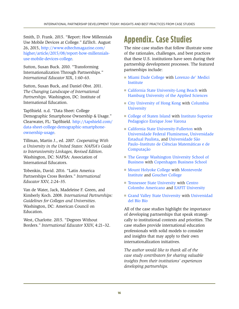<span id="page-15-0"></span>Smith, D. Frank. 2015. "Report: How Millennials Use Mobile Devices at College." *EdTech*. August 26, 2015, [http://www.edtechmagazine.com/](http://www.edtechmagazine.com/higher/article/2015/08/report-how-millennials-use-mobile-devices-college) [higher/article/2015/08/report-how-millennials](http://www.edtechmagazine.com/higher/article/2015/08/report-how-millennials-use-mobile-devices-college)[use-mobile-devices-college.](http://www.edtechmagazine.com/higher/article/2015/08/report-how-millennials-use-mobile-devices-college)

Sutton, Susan Buck. 2010. "Transforming Internationalization Through Partnerships." *International Educator* XIX, 1:60–63.

Sutton, Susan Buck, and Daniel Obst. 2011. *The Changing Landscape of International Partnerships*. Washington, DC: Institute of International Education.

TapShield. n.d. "Data Sheet: College Demographic Smartphone Ownership & Usage." Clearwater, FL: TapShield. [http://tapshield.com/](http://tapshield.com/data-sheet-college-demographic-smartphone-ownership-usage) [data-sheet-college-demographic-smartphone](http://tapshield.com/data-sheet-college-demographic-smartphone-ownership-usage)[ownership-usage.](http://tapshield.com/data-sheet-college-demographic-smartphone-ownership-usage)

Tillman, Martin J., ed. 2007. *Cooperating With a University in the United States: NAFSA's Guide to Interuniversity Linkages, Revised Edition*. Washington, DC: NAFSA: Association of International Educators.

Tobenkin, David. 2016. "Latin America Partnerships Cross Borders." *International Educator* XXV, 2:24–35.

Van de Water, Jack, Madeleine F. Green, and Kimberly Koch. 2008. *International Partnerships: Guidelines for Colleges and Universities*. Washington, DC: American Council on Education.

West, Charlotte. 2015. "Degrees Without Borders." *International Educator* XXIV, 4:21–32.

# **Appendix. Case Studies**

The nine case studies that follow illustrate some of the rationales, challenges, and best practices that these U.S. institutions have seen during their partnership development processes. The featured partnerships include:

- [Miami Dade College](#page-16-2) with Lorenzo de' Medici Institute
- [California State University-Long Beach](#page-18-2) with Hamburg University of the Applied Sciences
- [City University of Hong Kong](#page-20-2) with Columbia **[University](#page-20-3)**
- [College of Staten Island](#page-22-1) with Instituto Superior [Pedagogico Enrique Jose Varona](#page-22-2)
- [California State University-Fullerton](#page-24-2) with Universidade Federal Fluminense, Universidade Estadual Paulista, and Universidade São Paulo–Instituto de Ciências Matemáticas e de Computação
- The George Washington University School of [Business](#page-26-2) with [Copenhagen Business School](#page-26-3)
- [Mount Holyoke College](#page-28-2) with Monteverde [Institute](#page-28-3) and [Goucher College](#page-28-1)
- [Tennessee State University](#page-30-2) with Centro Colombo Americano and [EAFIT University](#page-30-3)
- [Grand Valley State University](#page-32-1) with Universidad del Bío Bío

All of the case studies highlight the importance of developing partnerships that speak strategically to institutional contexts and priorities. The case studies provide international education professionals with solid models to consider and insights that may apply to their own internationalization initiatives.

*The author would like to thank all of the case study contributors for sharing valuable insights from their institutions' experiences developing partnerships.*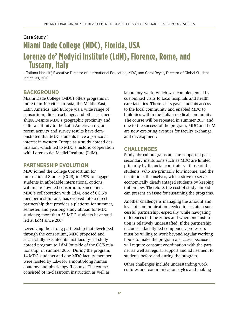### <span id="page-16-2"></span><span id="page-16-1"></span><span id="page-16-0"></span>Case Study 1 **Miami Dade College (MDC), Florida, USA Lorenzo de' Medyici Institute (LdM), Florence, Rome, and Tuscany, Italy**

—Tatiana Mackliff, Executive Director of International Education, MDC, and Carol Reyes, Director of Global Student Initiatives, MDC

#### **BACKGROUND**

Miami Dade College (MDC) offers programs in more than 100 cities in Asia, the Middle East, Latin America, and Europe via a wide range of consortium, direct exchange, and other partnerships. Despite MDC's geographic proximity and cultural affinity to the Latin American region, recent activity and survey results have demonstrated that MDC students have a particular interest in western Europe as a study abroad destination, which led to MDC's historic cooperation with Lorenzo de' Medici Institute (LdM).

#### **PARTNERSHIP EVOLUTION**

MDC joined the College Consortium for International Studies (CCIS) in 1979 to engage students in affordable international options within a renowned consortium. Since then, MDC's collaboration with LdM, one of CCIS's member institutions, has evolved into a direct partnership that provides a platform for summer, semester, and yearlong study abroad for MDC students; more than 33 MDC students have studied at LdM since 2007.

Leveraging the strong partnership that developed through the consortium, MDC proposed and successfully executed its first faculty-led study abroad program to LdM (outside of the CCIS relationship) in summer 2016. During the program, 14 MDC students and one MDC faculty member were hosted by LdM for a month-long human anatomy and physiology II course. The course consisted of in-classroom instruction as well as

laboratory work, which was complemented by customized visits to local hospitals and health care facilities. These visits gave students access to the local community and enabled MDC to build ties within the Italian medical community. The course will be repeated in summer 2017 and, due to the success of the program, MDC and LdM are now exploring avenues for faculty exchange and development.

#### **CHALLENGES**

Study abroad programs at state-supported postsecondary institutions such as MDC are limited primarily by financial constraints—those of the students, who are primarily low income, and the institutions themselves, which strive to serve economically disadvantaged students by keeping tuition low. Therefore, the cost of study abroad can present an issue for sustaining the programs.

Another challenge is managing the amount and level of communication needed to sustain a successful partnership, especially while navigating differences in time zones and when one institution is relatively understaffed. If the partnership includes a faculty-led component, professors must be willing to work beyond regular working hours to make the program a success because it will require constant coordination with the partner as well as regular support and advisement to students before and during the program.

Other challenges include understanding work cultures and communication styles and making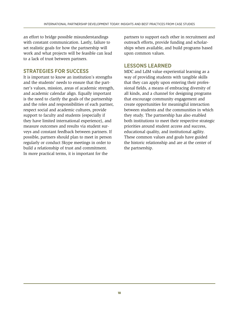an effort to bridge possible misunderstandings with constant communication. Lastly, failure to set realistic goals for how the partnership will work and what projects will be feasible can lead to a lack of trust between partners.

#### **STRATEGIES FOR SUCCESS**

It is important to know an institution's strengths and the students' needs to ensure that the partner's values, mission, areas of academic strength, and academic calendar align. Equally important is the need to clarify the goals of the partnership and the roles and responsibilities of each partner, respect social and academic cultures, provide support to faculty and students (especially if they have limited international experience), and measure outcomes and results via student surveys and constant feedback between partners. If possible, partners should plan to meet in person regularly or conduct Skype meetings in order to build a relationship of trust and commitment. In more practical terms, it is important for the

partners to support each other in recruitment and outreach efforts, provide funding and scholarships when available, and build programs based upon common values.

#### **LESSONS LEARNED**

MDC and LdM value experiential learning as a way of providing students with tangible skills that they can apply upon entering their professional fields, a means of embracing diversity of all kinds, and a channel for designing programs that encourage community engagement and create opportunities for meaningful interaction between students and the communities in which they study. The partnership has also enabled both institutions to meet their respective strategic priorities around student access and success, educational quality, and institutional agility. These common values and goals have guided the historic relationship and are at the center of the partnership.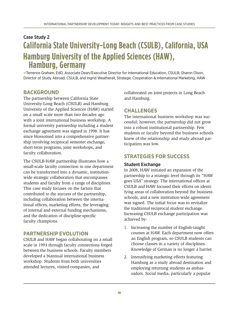### <span id="page-18-2"></span><span id="page-18-1"></span><span id="page-18-0"></span>Case Study 2 **California State University-Long Beach (CSULB), California, USA Hamburg University of the Applied Sciences (HAW), Hamburg, Germany**

—Terrence Graham, EdD, Associate Dean/Executive Director for International Education, CSULB; Sharon Olson, Director of Study Abroad, CSULB; and Ingrid Weatherall, Strategic Cooperation & International Marketing, HAW

#### **BACKGROUND**

The partnership between California State University-Long Beach (CSULB) and Hamburg University of the Applied Sciences (HAW) started on a small scale more than two decades ago with a joint international business workshop. A formal university partnership including a student exchange agreement was signed in 1998. It has since blossomed into a comprehensive partnership involving reciprocal semester exchange, short-term programs, joint workshops, and faculty collaboration.

The CSULB-HAW partnership illustrates how a small-scale faculty connection in one department can be transformed into a dynamic, institutionwide strategic collaboration that encompasses students and faculty from a range of disciplines. This case study focuses on the factors that contributed to the success of the partnership, including collaboration between the international offices, marketing efforts, the leveraging of internal and external funding mechanisms, and the dedication of discipline-specific faculty champions.

#### **PARTNERSHIP EVOLUTION**

CSULB and HAW began collaborating on a small scale in 1993 through faculty connections forged between the business schools. Faculty members developed a biannual international business workshop. Students from both universities attended lectures, visited companies, and

collaborated on joint projects in Long Beach and Hamburg.

#### **CHALLENGES**

The international business workshop was successful; however, the partnership did not grow into a robust institutional partnership. Few students or faculty beyond the business schools knew of the relationship and study abroad participation was low.

#### **STRATEGIES FOR SUCCESS**

#### Student Exchange

In 2008, HAW initiated an expansion of the partnership to a strategic level through its "HAW goes USA" strategy. The international offices at CSULB and HAW focused their efforts on identifying areas of collaboration beyond the business schools, and a new institution-wide agreement was signed. The initial focus was to revitalize the traditional reciprocal student exchange. Increasing CSULB exchange participation was achieved by:

- 1. Increasing the number of English-taught courses at HAW. Each department now offers an English program, so CSULB students can choose classes in a variety of disciplines. Knowledge of German is no longer a barrier.
- 2. Intensifying marketing efforts featuring Hamburg as a study abroad destination and employing returning students as ambassadors. Social media, particularly a popular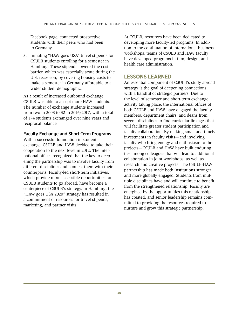Facebook page, connected prospective students with their peers who had been to Germany.

3. Initiating "HAW goes USA" travel stipends for CSULB students enrolling for a semester in Hamburg. These stipends lowered the cost barrier, which was especially acute during the U.S. recession, by covering housing costs to make a semester in Germany affordable to a wider student demographic.

As a result of increased outbound exchange, CSULB was able to accept more HAW students. The number of exchange students increased from two in 2008 to 32 in 2016/2017, with a total of 174 students exchanged over nine years and reciprocal balance.

#### Faculty Exchange and Short-Term Programs

With a successful foundation in student exchange, CSULB and HAW decided to take their cooperation to the next level in 2012. The international offices recognized that the key to deepening the partnership was to involve faculty from different disciplines and connect them with their counterparts. Faculty-led short-term initiatives, which provide more accessible opportunities for CSULB students to go abroad, have become a centerpiece of CSULB's strategy. In Hamburg, the "HAW goes USA 2020" strategy has resulted in a commitment of resources for travel stipends, marketing, and partner visits.

At CSULB, resources have been dedicated to developing more faculty-led programs. In addition to the continuation of international business workshops, teams of CSULB and HAW faculty have developed programs in film, design, and health care administration.

#### **LESSONS LEARNED**

An essential component of CSULB's study abroad strategy is the goal of deepening connections with a handful of strategic partners. Due to the level of semester and short-term exchange activity taking place, the international offices of both CSULB and HAW have engaged the faculty members, department chairs, and deans from several disciplines to find curricular linkages that will facilitate greater student participation and faculty collaboration. By making small and timely investments in faculty visits—and involving faculty who bring energy and enthusiasm to the projects—CSULB and HAW have built enduring ties among colleagues that will lead to additional collaboration in joint workshops, as well as research and creative projects. The CSULB-HAW partnership has made both institutions stronger and more globally engaged. Students from multiple disciplines have and will continue to benefit from the strengthened relationship. Faculty are energized by the opportunities this relationship has created, and senior leadership remains committed to providing the resources required to nurture and grow this strategic partnership.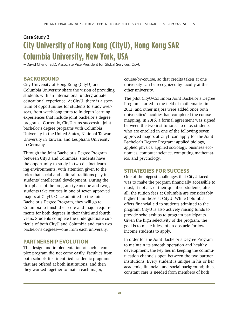### <span id="page-20-2"></span><span id="page-20-1"></span><span id="page-20-0"></span>Case Study 3 **City University of Hong Kong (CityU), Hong Kong SAR Columbia University, New York, USA**

<span id="page-20-3"></span>—David Cheng, EdD, Associate Vice President for Global Services, CityU

#### **BACKGROUND**

City University of Hong Kong (CityU) and Columbia University share the vision of providing students with an international undergraduate educational experience. At CityU, there is a spectrum of opportunities for students to study overseas, from week-long tours to in-depth learning experiences that include joint bachelor's degree programs. Currently, CityU runs successful joint bachelor's degree programs with Columbia University in the United States, National Taiwan University in Taiwan, and Leuphana University in Germany.

Through the Joint Bachelor's Degree Program between CityU and Columbia, students have the opportunity to study in two distinct learning environments, with attention given to the roles that social and cultural traditions play in students' intellectual development. During the first phase of the program (years one and two), students take courses in one of seven approved majors at CityU. Once admitted to the Joint Bachelor's Degree Program, they will go to Columbia to finish their core and major requirements for both degrees in their third and fourth years. Students complete the undergraduate curricula of both CityU and Columbia and earn two bachelor's degrees—one from each university.

#### **PARTNERSHIP EVOLUTION**

The design and implementation of such a complex program did not come easily. Faculties from both schools first identified academic programs that are offered at both institutions, and then they worked together to match each major,

course-by-course, so that credits taken at one university can be recognized by faculty at the other university.

The pilot CityU-Columbia Joint Bachelor's Degree Program started in the field of mathematics in 2012, and other majors were added once both universities' faculties had completed the course mapping. In 2015, a formal agreement was signed between the two institutions. To date, students who are enrolled in one of the following seven approved majors at CityU can apply for the Joint Bachelor's Degree Program: applied biology, applied physics, applied sociology, business economics, computer science, computing mathematics, and psychology.

#### **STRATEGIES FOR SUCCESS**

One of the biggest challenges that CityU faced was to make the program financially accessible to most, if not all, of their qualified students; after all, the tuition fees at Columbia are considerably higher than those at CityU. While Columbia offers financial aid to students admitted to the program, CityU is also actively raising funds to provide scholarships to program participants. Given the high selectivity of the program, the goal is to make it less of an obstacle for lowincome students to apply.

In order for the Joint Bachelor's Degree Program to maintain its smooth operation and healthy development, the key lies in keeping the communication channels open between the two partner institutions. Every student is unique in his or her academic, financial, and social background; thus, constant care is needed from members of both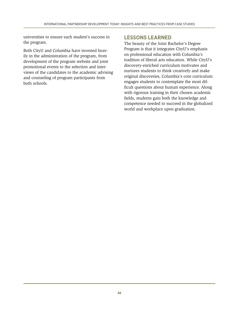universities to ensure each student's success in the program.

Both CityU and Columbia have invested heavily in the administration of the program, from development of the program website and joint promotional events to the selection and interviews of the candidates to the academic advising and counseling of program participants from both schools.

#### **LESSONS LEARNED**

The beauty of the Joint Bachelor's Degree Program is that it integrates CityU's emphasis on professional education with Columbia's tradition of liberal arts education. While CityU's discovery-enriched curriculum motivates and nurtures students to think creatively and make original discoveries, Columbia's core curriculum engages students to contemplate the most difficult questions about human experience. Along with rigorous training in their chosen academic fields, students gain both the knowledge and competence needed to succeed in the globalized world and workplace upon graduation.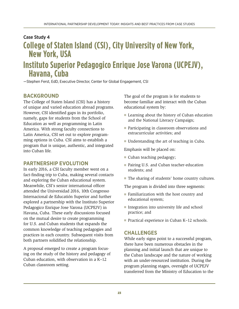### <span id="page-22-1"></span><span id="page-22-0"></span>Case Study 4 **College of Staten Island (CSI), City University of New York, New York, USA Instituto Superior Pedagogico Enrique Jose Varona (UCPEJV), Havana, Cuba**

<span id="page-22-2"></span>—Stephen Ferst, EdD, Executive Director, Center for Global Engagement, CSI

#### **BACKGROUND**

The College of Staten Island (CSI) has a history of unique and varied education abroad programs. However, CSI identified gaps in its portfolio, namely, gaps for students from the School of Education as well as programming in Latin America. With strong faculty connections to Latin America, CSI set out to explore programming options in Cuba. CSI aims to establish a program that is unique, authentic, and integrated into Cuban life.

#### **PARTNERSHIP EVOLUTION**

In early 2016, a CSI faculty member went on a fact-finding trip to Cuba, making several contacts and exploring the Cuban educational system. Meanwhile, CSI's senior international officer attended the Universidad 2016, 10th Congresso Internacional de Educatión Superior and further explored a partnership with the Instituto Superior Pedagogico Enrique Jose Varona (UCPEJV) in Havana, Cuba. These early discussions focused on the mutual desire to create programming for U.S. and Cuban students that expands the common knowledge of teaching pedagogies and practices in each country. Subsequent visits from both partners solidified the relationship.

A proposal emerged to create a program focusing on the study of the history and pedagogy of Cuban education, with observation in a K–12 Cuban classroom setting.

The goal of the program is for students to become familiar and interact with the Cuban educational system by:

- Learning about the history of Cuban education and the National Literacy Campaign;
- Participating in classroom observations and extracurricular activities; and
- Understanding the art of teaching in Cuba.

Emphasis will be placed on:

- Cuban teaching pedagogy;
- Pairing U.S. and Cuban teacher-education students; and
- The sharing of students' home country cultures.

The program is divided into three segments:

- Familiarization with the host country and educational system;
- Integration into university life and school practice; and
- Practical experience in Cuban K–12 schools.

#### **CHALLENGES**

While early signs point to a successful program, there have been numerous obstacles in the planning and initial launch that are unique to the Cuban landscape and the nature of working with an under-resourced institution. During the program planning stages, oversight of UCPEJV transferred from the Ministry of Education to the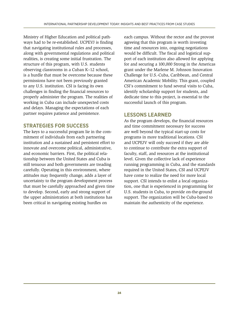Ministry of Higher Education and political pathways had to be re-established. UCPEVJ is finding that navigating institutional rules and processes, along with governmental regulations and political realities, is creating some initial frustration. The structure of this program, with U.S. students observing classrooms in a Cuban K–12 school, is a hurdle that must be overcome because these permissions have not been previously granted to any U.S. institution. CSI is facing its own challenges in finding the financial resources to properly administer the program. The realities of working in Cuba can include unexpected costs and delays. Managing the expectations of each partner requires patience and persistence.

#### **STRATEGIES FOR SUCCESS**

The keys to a successful program lie in the commitment of individuals from each partnering institution and a sustained and persistent effort to innovate and overcome political, administrative, and economic barriers. First, the political relationship between the United States and Cuba is still tenuous and both governments are treading carefully. Operating in this environment, where attitudes may frequently change, adds a layer of uncertainty to the program development process that must be carefully approached and given time to develop. Second, early and strong support of the upper administration at both institutions has been critical in navigating existing hurdles on

each campus. Without the rector and the provost agreeing that this program is worth investing time and resources into, ongoing negotiations would be difficult. The fiscal and logistical support of each institution also allowed for applying for and securing a 100,000 Strong in the Americas grant under the Marlene M. Johnson Innovation Challenge for U.S.-Cuba, Caribbean, and Central American Academic Mobility. This grant, coupled CSI's commitment to fund several visits to Cuba, identify scholarship support for students, and dedicate time to this project, is essential to the successful launch of this program.

#### **LESSONS LEARNED**

As the program develops, the financial resources and time commitment necessary for success are well beyond the typical start-up costs for programs in more traditional locations. CSI and UCPEJV will only succeed if they are able to continue to contribute the extra support of faculty, staff, and resources at the institutional level. Given the collective lack of experience running programming in Cuba, and the standards required in the United States, CSI and UCPEJV have come to realize the need for more local support. CSI intends to enlist a local organization, one that is experienced in programming for U.S. students in Cuba, to provide on-the-ground support. The organization will be Cuba-based to maintain the authenticity of the experience.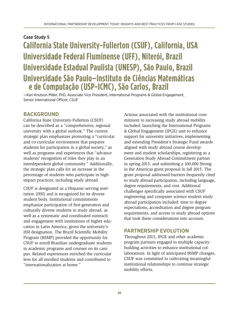### <span id="page-24-2"></span><span id="page-24-1"></span><span id="page-24-0"></span>Case Study 5 **California State University-Fullerton (CSUF), California, USA Universidade Federal Fluminense (UFF), Niterói, Brazil Universidade Estadual Paulista (UNESP), São Paulo, Brazil Universidade São Paulo–Instituto de Ciências Matemáticas e de Computação (USP-ICMC), São Carlos, Brazil**

—Kari Knutson Miller, PhD, Associate Vice President, International Programs & Global Engagement, Senior International Officer, CSUF

#### **BACKGROUND**

California State University-Fullerton (CSUF) can be described as a "comprehensive, regional university with a global outlook." The current strategic plan emphasizes promoting a "curricular and co-curricular environment that prepares students for participation in a global society," as well as programs and experiences that "advance students' recognition of roles they play in an interdependent global community." Additionally, the strategic plan calls for an increase in the percentage of students who participate in highimpact practices, including study abroad.

CSUF is designated as a Hispanic-serving institution (HSI) and is recognized for its diverse student body. Institutional commitments emphasize participation of first-generation and culturally diverse students in study abroad, as well as a systematic and coordinated outreach and engagement with institutions of higher education in Latin America, given the university's HSI designation. The Brazil Scientific Mobility Program (BSMP) provided the opportunity for CSUF to enroll Brazilian undergraduate students in academic programs and courses on its campus. Related experiences enriched the curricular lens for all enrolled students and contributed to "internationalization at home."

Actions associated with the institutional commitment to increasing study abroad mobility included: launching the International Programs & Global Engagement (IPGE) unit to enhance support for university initiatives, implementing and extending President's Strategic Fund awards aligned with study abroad course development and student scholarships, registering as a Generation Study Abroad Commitment partner in spring 2015, and submitting a 100,000 Strong in the Americas grant proposal in fall 2015. The grant proposal addressed barriers frequently cited to study abroad participation, including language, degree requirements, and cost. Additional challenges specifically associated with CSUF engineering and computer science student study abroad participation included: time to degree expectations, accreditation and degree program requirements, and access to study abroad options that took these considerations into account.

#### **PARTNERSHIP EVOLUTION**

Throughout 2015, IPGE and other academic program partners engaged in multiple capacitybuilding activities to enhance institutional collaborations. In light of anticipated BSMP changes, CSUF was committed to cultivating meaningful institutional relationships to continue strategic mobility efforts.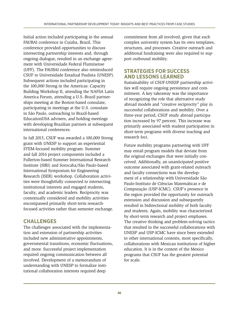Initial action included participating in the annual FAUBAI conference in Cuiaba, Brazil. This conference provided opportunities to discuss intersecting partnership interests and, through ongoing dialogue, resulted in an exchange agreement with Universidade Federal Fluminense (UFF). The FAUBAI conference also reintroduced CSUF to Universidade Estadual Paulista (UNESP). Subsequent actions included participating in the 100,000 Strong in the Americas: Capacity Building Workshop II, attending the NAFSA Latin America Forum, attending a U.S.-Brazil partnerships meeting at the Boston-based consulate, participating in meetings at the U.S. consulate in São Paulo, outreaching to Brazil-based EducationUSA advisers, and holding meetings with developing Brazilian partners at subsequent international conferences.

In fall 2015, CSUF was awarded a 100,000 Strong grant with UNESP to support an experiential STEM-focused mobility program. Summer and fall 2016 project components included a Fullerton-based Summer International Research Institute (SIRI) and Sorocaba/São Paulo-based International Symposium for Engineering Research (ISER) workshop. Collaboration activities were thoughtfully connected to intersecting institutional interests and engaged students, faculty, and academic leaders. Reciprocity was contextually considered and mobility activities encompassed primarily short-term researchfocused activities rather than semester exchange.

#### **CHALLENGES**

The challenges associated with the implementation and extension of partnership activities included new administrative appointments, governmental transitions, economic fluctuations, and more. Successful project implementation required ongoing communication between all involved. Development of a memorandum of understanding with UNESP to formalize institutional collaboration interests required deep

commitment from all involved, given that each complex university system has its own templates, structures, and processes. Creative outreach and additional fundraising were also required to support outbound mobility.

#### **STRATEGIES FOR SUCCESS AND LESSONS LEARNED**

Sustainability of CSUF-UNESP partnership activities will require ongoing persistence and commitment. A key takeaway was the importance of recognizing the role that alternative study abroad models and "creative reciprocity" play in successful collaborations and mobility. Over a three-year period, CSUF study abroad participation increased by 97 percent. This increase was primarily associated with student participation in short-term programs with diverse teaching and research foci.

Future mobility programs partnering with UFF may entail program models that deviate from the original exchanges that were initially conceived. Additionally, an unanticipated positive outcome associated with grant-related outreach and faculty connections was the development of a relationship with Universidade São Paulo-Instituto de Ciências Matemáticas e de Computação (USP-ICMC). CSUF's presence in the region provided the opportunity for outreach extension and discussion and subsequently resulted in bidirectional mobility of both faculty and students. Again, mobility was characterized by short-term research and project emphases. The creative thinking and problem-solving tactics that resulted in the successful collaborations with UNESP and USP-ICMC have since been extended to other international contexts, most specifically, collaborations with Mexican institutions of higher education. It is in the context of the Mexico programs that CSUF has the greatest potential for scale.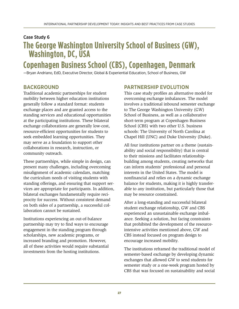### <span id="page-26-2"></span><span id="page-26-1"></span><span id="page-26-0"></span>Case Study 6 **The George Washington University School of Business (GW), Washington, DC, USA**

### <span id="page-26-3"></span>**Copenhagen Business School (CBS), Copenhagen, Denmark**

—Bryan Andriano, EdD, Executive Director, Global & Experiential Education, School of Business, GW

#### **BACKGROUND**

Traditional academic partnerships for student mobility between higher education institutions generally follow a standard format: students exchange places and are granted access to the standing services and educational opportunities at the participating institutions. These bilateral exchange collaborations are generally low-cost, resource-efficient opportunities for students to seek embedded learning opportunities. They may serve as a foundation to support other collaborations in research, instruction, or community outreach.

These partnerships, while simple in design, can present many challenges, including overcoming misalignment of academic calendars, matching the curriculum needs of visiting students with standing offerings, and ensuring that support services are appropriate for participants. In addition, bilateral exchanges fundamentally require reciprocity for success. Without consistent demand on both sides of a partnership, a successful collaboration cannot be sustained.

Institutions experiencing an out-of-balance partnership may try to find ways to encourage engagement in the standing program through scholarships, new academic programs, or increased branding and promotion. However, all of these activities would require substantial investments from the hosting institutions.

#### **PARTNERSHIP EVOLUTION**

This case study profiles an alternative model for overcoming exchange imbalances. The model involves a traditional inbound semester exchange to The George Washington University (GW) School of Business, as well as a collaborative short-term program at Copenhagen Business School (CBS) with two other U.S. business schools: The University of North Carolina at Chapel Hill (UNC) and Duke University (Duke).

All four institutions partner on a theme (sustainability and social responsibility) that is central to their missions and facilitates relationshipbuilding among students, creating networks that can inform students' professional and personal interests in the United States. The model is nonfinancial and relies on a dynamic exchange balance for students, making it is highly transferable to any institution, but particularly those that may be resource constrained.

After a long-standing and successful bilateral student exchange relationship, GW and CBS experienced an unsustainable exchange imbalance. Seeking a solution, but facing constraints that prohibited the development of the resourceintensive activities mentioned above, GW and CBS instead focused on program design to encourage increased mobility.

The institutions reframed the traditional model of semester-based exchange by developing dynamic exchanges that allowed GW to send students for semester study or a one-week program hosted by CBS that was focused on sustainability and social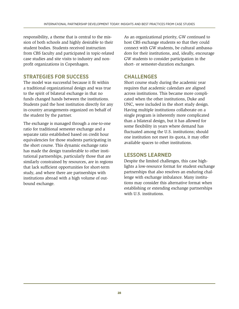responsibility, a theme that is central to the mission of both schools and highly desirable to their student bodies. Students received instruction from CBS faculty and participated in topic-related case studies and site visits to industry and nonprofit organizations in Copenhagen.

#### **STRATEGIES FOR SUCCESS**

The model was successful because it fit within a traditional organizational design and was true to the spirit of bilateral exchange in that no funds changed hands between the institutions. Students paid the host institution directly for any in-country arrangements organized on behalf of the student by the partner.

The exchange is managed through a one-to-one ratio for traditional semester exchange and a separate ratio established based on credit hour equivalencies for those students participating in the short course. This dynamic exchange ratio has made the design transferable to other institutional partnerships, particularly those that are similarly constrained by resources, are in regions that lack sufficient opportunities for short-term study, and where there are partnerships with institutions abroad with a high volume of outbound exchange.

As an organizational priority, GW continued to host CBS exchange students so that they could connect with GW students, be cultural ambassadors for their institutions, and, ideally, encourage GW students to consider participation in the short- or semester-duration exchanges.

#### **CHALLENGES**

Short course study during the academic year requires that academic calendars are aligned across institutions. This became more complicated when the other institutions, Duke and UNC, were included in the short study design. Having multiple institutions collaborate on a single program is inherently more complicated than a bilateral design, but it has allowed for some flexibility in years where demand has fluctuated among the U.S. institutions; should one institution not meet its quota, it may offer available spaces to other institutions.

#### **LESSONS LEARNED**

Despite the limited challenges, this case highlights a low-resource format for student exchange partnerships that also resolves an enduring challenge with exchange imbalance. Many institutions may consider this alternative format when establishing or extending exchange partnerships with U.S. institutions.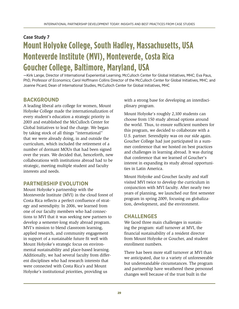### <span id="page-28-3"></span><span id="page-28-2"></span><span id="page-28-1"></span><span id="page-28-0"></span>Case Study 7 **Mount Holyoke College, South Hadley, Massachusetts, USA Monteverde Institute (MVI), Monteverde, Costa Rica Goucher College, Baltimore, Maryland, USA**

—Kirk Lange, Director of International Experiential Learning, McCulloch Center for Global Initiatives, MHC; Eva Paus, PhD, Professor of Economics; Carol Hoffmann Collins Director of the McCulloch Center for Global Initiatives, MHC; and Joanne Picard, Dean of International Studies, McCulloch Center for Global Initiatives, MHC

#### **BACKGROUND**

A leading liberal arts college for women, Mount Holyoke College made the internationalization of every student's education a strategic priority in 2003 and established the McCulloch Center for Global Initiatives to lead the charge. We began by taking stock of all things "international" that we were already doing, in and outside the curriculum, which included the retirement of a number of dormant MOUs that had been signed over the years. We decided that, henceforth, new collaborations with institutions abroad had to be strategic, meeting multiple student and faculty interests and needs.

#### **PARTNERSHIP EVOLUTION**

Mount Holyoke's partnership with the Monteverde Institute (MVI) in the cloud forest of Costa Rica reflects a perfect confluence of strategy and serendipity. In 2006, we learned from one of our faculty members who had connections to MVI that it was seeking new partners to develop a semester-long study abroad program. MVI's mission to blend classroom learning, applied research, and community engagement in support of a sustainable future fit well with Mount Holyoke's strategic focus on environmental sustainability and place-based learning. Additionally, we had several faculty from different disciplines who had research interests that were connected with Costa Rica's and Mount Holyoke's institutional priorities, providing us

with a strong base for developing an interdisciplinary program.

Mount Holyoke's roughly 2,100 students can choose from 150 study abroad options around the world. Thus, to ensure sufficient numbers for this program, we decided to collaborate with a U.S. partner. Serendipity was on our side again. Goucher College had just participated in a summer conference that we hosted on best practices and challenges in learning abroad. It was during that conference that we learned of Goucher's interest in expanding its study abroad opportunities in Latin America.

Mount Holyoke and Goucher faculty and staff visited MVI twice to develop the curriculum in conjunction with MVI faculty. After nearly two years of planning, we launched our first semester program in spring 2009, focusing on globalization, development, and the environment.

#### **CHALLENGES**

We faced three main challenges in sustaining the program: staff turnover at MVI, the financial sustainability of a resident director from Mount Holyoke or Goucher, and student enrollment numbers.

There has been more staff turnover at MVI than we anticipated, due to a variety of unforeseeable but understandable circumstances. The program and partnership have weathered these personnel changes well because of the trust built in the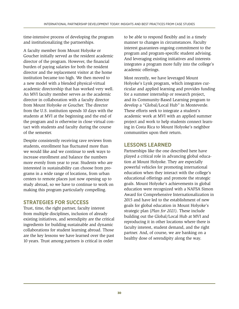time-intensive process of developing the program and institutionalizing the partnerships.

A faculty member from Mount Holyoke or Goucher initially served as the resident academic director of the program. However, the financial burden of paying salaries for both the resident director and the replacement visitor at the home institution became too high. We then moved to a new model with a blended physical-virtual academic directorship that has worked very well. An MVI faculty member serves as the academic director in collaboration with a faculty director from Mount Holyoke or Goucher. The director from the U.S. institution spends 10 days with the students at MVI at the beginning and the end of the program and is otherwise in close virtual contact with students and faculty during the course of the semester.

Despite consistently receiving rave reviews from students, enrollment has fluctuated more than we would like and we continue to seek ways to increase enrollment and balance the numbers more evenly from year to year. Students who are interested in sustainability can choose from programs in a wide range of locations, from urban centers to remote places just now opening up to study abroad, so we have to continue to work on making this program particularly compelling.

#### **STRATEGIES FOR SUCCESS**

Trust, time, the right partner, faculty interest from multiple disciplines, inclusion of already existing initiatives, and serendipity are the critical ingredients for building sustainable and dynamic collaborations for student learning abroad. Those are the key lessons we have learned over the past 10 years. Trust among partners is critical in order

to be able to respond flexibly and in a timely manner to changes in circumstances. Faculty interest guarantees ongoing commitment to the program and program-specific student advising. And leveraging existing initiatives and interests integrates a program more fully into the college's academic offerings.

Most recently, we have leveraged Mount Holyoke's Lynk program, which integrates curricular and applied learning and provides funding for a summer internship or research project, and its Community-Based Learning program to develop a "Global/Local Hub" in Monteverde. These efforts seek to integrate a student's academic work at MVI with an applied summer project and work to help students connect learning in Costa Rica to Mount Holyoke's neighbor communities upon their return.

#### **LESSONS LEARNED**

Partnerships like the one described here have played a critical role in advancing global education at Mount Holyoke. They are especially powerful vehicles for promoting international education when they interact with the college's educational offerings and promote the strategic goals. Mount Holyoke's achievements in global education were recognized with a NAFSA Simon Award for Comprehensive Internationalization in 2015 and have led to the establishment of new goals for global education in Mount Holyoke's strategic plan (*Plan for 2021*). These include building out the Global/Local Hub at MVI and reproducing it in other locations where there is faculty interest, student demand, and the right partner. And, of course, we are banking on a healthy dose of serendipity along the way.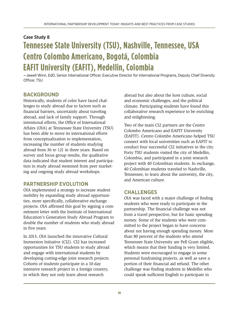### <span id="page-30-2"></span><span id="page-30-1"></span><span id="page-30-0"></span>Case Study 8 **Tennessee State University (TSU), Nashville, Tennessee, USA Centro Colombo Americano, Bogotá, Colombia EAFIT University (EAFIT), Medellin, Colombia**

<span id="page-30-3"></span>—Jewell Winn, EdD, Senior International Officer, Executive Director for International Programs, Deputy Chief Diversity Officer, TSU

#### **BACKGROUND**

Historically, students of color have faced challenges to study abroad due to factors such as financial barriers, uncertainly about traveling abroad, and lack of family support. Through intentional efforts, the Office of International Affairs (OIA) at Tennessee State University (TSU) has been able to move its international efforts from conceptualization to implementation, increasing the number of students studying abroad from 36 to 121 in three years. Based on survey and focus group results, the qualitative data indicated that student interest and participation in study abroad stemmed from peer marketing and ongoing study abroad workshops.

#### **PARTNERSHIP EVOLUTION**

OIA implemented a strategy to increase student mobility by expanding study abroad opportunities, more specifically, collaborative exchange projects. OIA affirmed this goal by signing a commitment letter with the Institute of International Education's Generation Study Abroad Program to double the number of students who study abroad in five years.

In 2013, OIA launched the innovative Cultural Immersion Initiative (CI2). CI2 has increased opportunities for TSU students to study abroad and engage with international students by developing cutting-edge joint research projects. Cohorts of students participate in a 10-day intensive research project in a foreign country, in which they not only learn about research

abroad but also about the host culture, social and economic challenges, and the political climate. Participating students have found this collaborative research experience to be enriching and enlightening.

Two of the main CI2 partners are the Centro Colombo Americano and EAFIT University (EAFIT). Centro Colombo Americano helped TSU connect with local universities such as EAFIT to conduct four successful CI2 initiatives in the city. Forty TSU students visited the city of Medellin, Colombia, and participated in a joint research project with 40 Colombian students. In exchange, 40 Colombian students traveled to Nashville, Tennessee, to learn about the university, the city, and American culture.

#### **CHALLENGES**

OIA was faced with a major challenge of finding students who were ready to participate in the partnership. The financial challenge was not from a travel perspective, but for basic spending money. Some of the students who were committed to the project began to have concerns about not having enough spending money. More than 80 percent of the students who attend Tennessee State University are Pell Grant eligible, which means that their funding is very limited. Students were encouraged to engage in some personal fundraising projects, as well as save a portion of their financial aid refund. The other challenge was finding students in Medellin who could speak sufficient English to participate in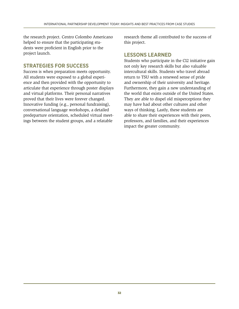the research project. Centro Colombo Americano helped to ensure that the participating students were proficient in English prior to the project launch.

#### **STRATEGIES FOR SUCCESS**

Success is when preparation meets opportunity. All students were exposed to a global experience and then provided with the opportunity to articulate that experience through poster displays and virtual platforms. Their personal narratives proved that their lives were forever changed. Innovative funding (e.g., personal fundraising), conversational language workshops, a detailed predeparture orientation, scheduled virtual meetings between the student groups, and a relatable

research theme all contributed to the success of this project.

#### **LESSONS LEARNED**

Students who participate in the CI2 initiative gain not only key research skills but also valuable intercultural skills. Students who travel abroad return to TSU with a renewed sense of pride and ownership of their university and heritage. Furthermore, they gain a new understanding of the world that exists outside of the United States. They are able to dispel old misperceptions they may have had about other cultures and other ways of thinking. Lastly, these students are able to share their experiences with their peers, professors, and families, and their experiences impact the greater community.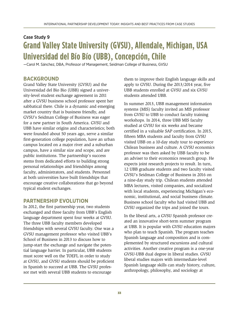### <span id="page-32-1"></span><span id="page-32-0"></span>Case Study 9 **Grand Valley State University (GVSU), Allendale, Michigan, USA Universidad del Bío Bío (UBB), Concepción, Chile**

—Carol M. Sánchez, DBA, Professor of Management, Seidman College of Business, GVSU

#### **BACKGROUND**

Grand Valley State University (GVSU) and the Universidad del Bio Bio (UBB) signed a university-level student exchange agreement in 2011 after a GVSU business school professor spent her sabbatical there. Chile is a dynamic and emerging market country that is business friendly, and GVSU's Seidman College of Business was eager for a new partner in South America. GVSU and UBB have similar origins and characteristics; both were founded about 50 years ago, serve a similar first-generation college population, have an urban campus located on a major river and a suburban campus, have a similar size and scope, and are public institutions. The partnership's success stems from dedicated efforts to building strong personal relationships and friendships among faculty, administrators, and students. Personnel at both universities have built friendships that encourage creative collaborations that go beyond typical student exchanges.

#### **PARTNERSHIP EVOLUTION**

In 2012, the first partnership year, two students exchanged and three faculty from UBB's English language department spent four weeks at GVSU. The three UBB faculty members developed friendships with several GVSU faculty. One was a GVSU management professor who visited UBB's School of Business in 2013 to discuss how to jump-start the exchange and navigate the potential language barrier. In particular, UBB students must score well on the TOEFL in order to study at GVSU, and GVSU students should be proficient in Spanish to succeed at UBB. The GVSU professor met with several UBB students to encourage

them to improve their English language skills and apply to GVSU. During the 2013/2014 year, five UBB students enrolled at GVSU and six GVSU students attended UBB.

In summer 2013, UBB management information systems (MIS) faculty invited an MIS professor from GVSU to UBB to conduct faculty training workshops. In 2014, three UBB MIS faculty studied at GVSU for six weeks and became certified in a valuable SAP certification. In 2015, fifteen MBA students and faculty from GVSU visited UBB on a 10-day study tour to experience Chilean business and culture. A GVSU economics professor was then asked by UBB faculty to be an adviser to their economics research group. He expects joint research projects to result. In turn, 12 UBB graduate students and two faculty visited GVSU's Seidman College of Business in 2016 on a nine-day study trip. Chilean students attended MBA lectures, visited companies, and socialized with local students, experiencing Michigan's economic, institutional, and social business climate. Business school faculty who had visited UBB and GVSU organized the trips and joined the tours.

In the liberal arts, a GVSU Spanish professor created an innovative short-term summer program at UBB. It is popular with GVSU education majors who plan to teach Spanish. The program teaches Spanish language and composition and is complemented by structured excursions and cultural activities. Another creative program is a one-year GVSU-UBB dual degree in liberal studies. GVSU liberal studies majors with intermediate-level Spanish language skills can study history, culture, anthropology, philosophy, and sociology at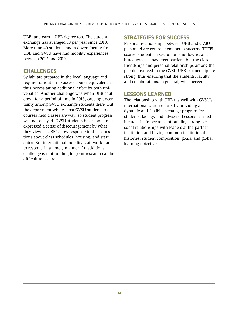UBB, and earn a UBB degree too. The student exchange has averaged 10 per year since 2013. More than 40 students and a dozen faculty from UBB and GVSU have had mobility experiences between 2012 and 2016.

#### **CHALLENGES**

Syllabi are prepared in the local language and require translation to assess course equivalencies, thus necessitating additional effort by both universities. Another challenge was when UBB shut down for a period of time in 2015, causing uncertainty among GVSU exchange students there. But the department where most GVSU students took courses held classes anyway, so student progress was not delayed. GVSU students have sometimes expressed a sense of discouragement by what they view as UBB's slow response to their questions about class schedules, housing, and start dates. But international mobility staff work hard to respond in a timely manner. An additional challenge is that funding for joint research can be difficult to secure.

#### **STRATEGIES FOR SUCCESS**

Personal relationships between UBB and GVSU personnel are central elements to success. TOEFL scores, student strikes, union shutdowns, and bureaucracies may erect barriers, but the close friendships and personal relationships among the people involved in the GVSU-UBB partnership are strong, thus ensuring that the students, faculty, and collaborations, in general, will succeed.

#### **LESSONS LEARNED**

The relationship with UBB fits well with GVSU's internationalization efforts by providing a dynamic and flexible exchange program for students, faculty, and advisers. Lessons learned include the importance of building strong personal relationships with leaders at the partner institution and having common institutional histories, student composition, goals, and global learning objectives.